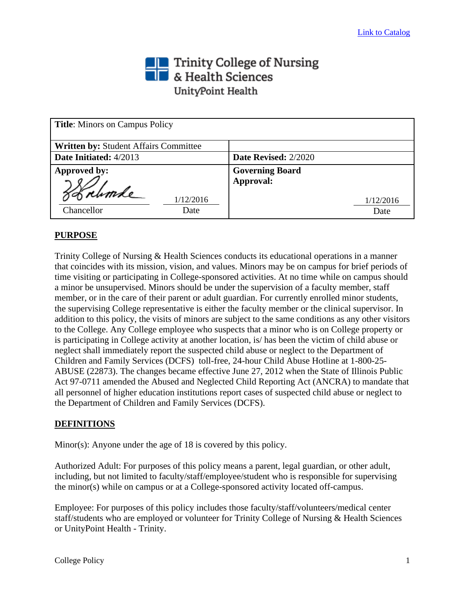# The Trinity College of Nursing<br>The & Health Sciences UnityPoint Health

| <b>Title:</b> Minors on Campus Policy |                        |
|---------------------------------------|------------------------|
| Written by: Student Affairs Committee |                        |
| Date Initiated: 4/2013                | Date Revised: 2/2020   |
| Approved by:                          | <b>Governing Board</b> |
| Sobrumle<br>1/12/2016                 | Approval:<br>1/12/2016 |
| Chancellor<br>Date                    | Date                   |

### **PURPOSE**

Trinity College of Nursing & Health Sciences conducts its educational operations in a manner that coincides with its mission, vision, and values. Minors may be on campus for brief periods of time visiting or participating in College-sponsored activities. At no time while on campus should a minor be unsupervised. Minors should be under the supervision of a faculty member, staff member, or in the care of their parent or adult guardian. For currently enrolled minor students, the supervising College representative is either the faculty member or the clinical supervisor. In addition to this policy, the visits of minors are subject to the same conditions as any other visitors to the College. Any College employee who suspects that a minor who is on College property or is participating in College activity at another location, is/ has been the victim of child abuse or neglect shall immediately report the suspected child abuse or neglect to the Department of Children and Family Services (DCFS) toll-free, 24-hour Child Abuse Hotline at 1-800-25- ABUSE (22873). The changes became effective June 27, 2012 when the State of Illinois Public Act 97-0711 amended the Abused and Neglected Child Reporting Act (ANCRA) to mandate that all personnel of higher education institutions report cases of suspected child abuse or neglect to the Department of Children and Family Services (DCFS).

### **DEFINITIONS**

Minor(s): Anyone under the age of 18 is covered by this policy.

Authorized Adult: For purposes of this policy means a parent, legal guardian, or other adult, including, but not limited to faculty/staff/employee/student who is responsible for supervising the minor(s) while on campus or at a College-sponsored activity located off-campus.

Employee: For purposes of this policy includes those faculty/staff/volunteers/medical center staff/students who are employed or volunteer for Trinity College of Nursing & Health Sciences or UnityPoint Health - Trinity.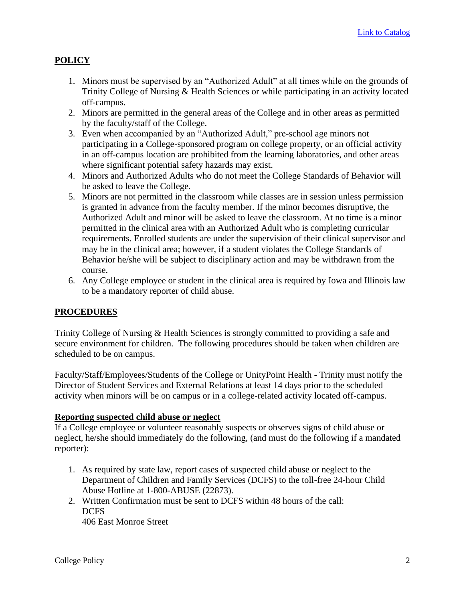# **POLICY**

- 1. Minors must be supervised by an "Authorized Adult" at all times while on the grounds of Trinity College of Nursing & Health Sciences or while participating in an activity located off-campus.
- 2. Minors are permitted in the general areas of the College and in other areas as permitted by the faculty/staff of the College.
- 3. Even when accompanied by an "Authorized Adult," pre-school age minors not participating in a College-sponsored program on college property, or an official activity in an off-campus location are prohibited from the learning laboratories, and other areas where significant potential safety hazards may exist.
- 4. Minors and Authorized Adults who do not meet the College Standards of Behavior will be asked to leave the College.
- 5. Minors are not permitted in the classroom while classes are in session unless permission is granted in advance from the faculty member. If the minor becomes disruptive, the Authorized Adult and minor will be asked to leave the classroom. At no time is a minor permitted in the clinical area with an Authorized Adult who is completing curricular requirements. Enrolled students are under the supervision of their clinical supervisor and may be in the clinical area; however, if a student violates the College Standards of Behavior he/she will be subject to disciplinary action and may be withdrawn from the course.
- 6. Any College employee or student in the clinical area is required by Iowa and Illinois law to be a mandatory reporter of child abuse.

## **PROCEDURES**

Trinity College of Nursing & Health Sciences is strongly committed to providing a safe and secure environment for children. The following procedures should be taken when children are scheduled to be on campus.

Faculty/Staff/Employees/Students of the College or UnityPoint Health - Trinity must notify the Director of Student Services and External Relations at least 14 days prior to the scheduled activity when minors will be on campus or in a college-related activity located off-campus.

### **Reporting suspected child abuse or neglect**

If a College employee or volunteer reasonably suspects or observes signs of child abuse or neglect, he/she should immediately do the following, (and must do the following if a mandated reporter):

- 1. As required by state law, report cases of suspected child abuse or neglect to the Department of Children and Family Services (DCFS) to the toll-free 24-hour Child Abuse Hotline at 1-800-ABUSE (22873).
- 2. Written Confirmation must be sent to DCFS within 48 hours of the call: DCFS 406 East Monroe Street